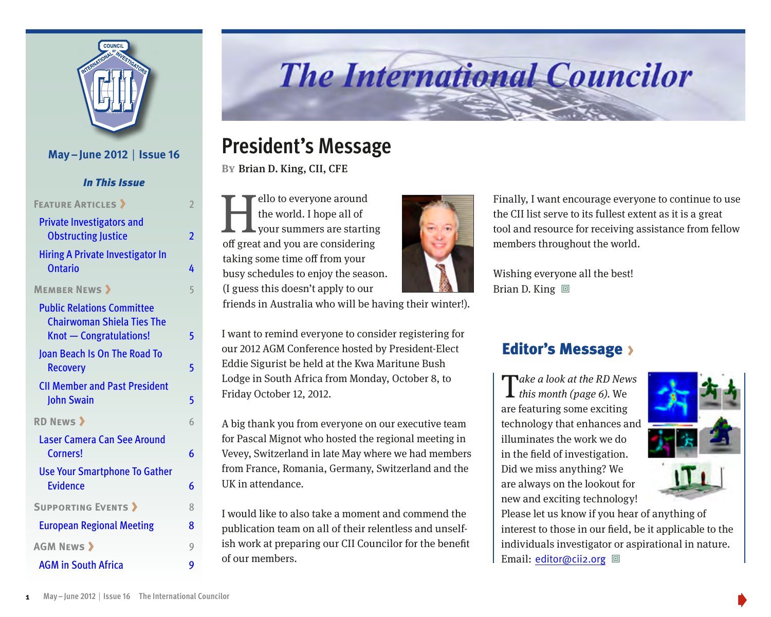

#### **May–June 2012** | **Issue 16**

*In This Issue*

| <b>FEATURE ARTICLES &gt;</b>                                                                             | $\overline{2}$ |
|----------------------------------------------------------------------------------------------------------|----------------|
| <b>Private Investigators and</b><br><b>Obstructing Justice</b>                                           | 2              |
| <b>Hiring A Private Investigator In</b><br><b>Ontario</b>                                                | 4              |
| <b>MEMBER NEWS &gt;</b>                                                                                  | 5              |
| <b>Public Relations Committee</b><br><b>Chairwoman Shiela Ties The</b><br><b>Knot - Congratulations!</b> | 5              |
| Joan Beach Is On The Road To<br><b>Recovery</b>                                                          | 5              |
| <b>CII Member and Past President</b><br><b>John Swain</b>                                                | 5              |
| <b>RD NEWS &gt;</b>                                                                                      | 6              |
| Laser Camera Can See Around<br>Corners!                                                                  | 6              |
| <b>Use Your Smartphone To Gather</b><br><b>Evidence</b>                                                  | 6              |
| <b>SUPPORTING EVENTS &gt;</b>                                                                            | 8              |
| <b>European Regional Meeting</b>                                                                         | 8              |
| <b>AGM NEWS &gt;</b>                                                                                     | 9              |
| <b>AGM in South Africa</b>                                                                               | 9              |

# **The International Councilor**

## **President's Message**

**By**Brian D. King, CII, CFE

Fello to everyone around<br>the world. I hope all of<br>your summers are starting the world. I hope all of your summers are starting off great and you are considering taking some time off from your busy schedules to enjoy the season. (I guess this doesn't apply to our



Finally, I want encourage everyone to continue to use the CII list serve to its fullest extent as it is a great tool and resource for receiving assistance from fellow members throughout the world.

Wishing everyone all the best! Brian D. King  $\Box$ 

#### friends in Australia who will be having their winter!).

I want to remind everyone to consider registering for our 2012 AGM Conference hosted by President-Elect Eddie Sigurist be held at the Kwa Maritune Bush Lodge in South Africa from Monday, October 8, to Friday October 12, 2012.

A big thank you from everyone on our executive team for Pascal Mignot who hosted the regional meeting in Vevey, Switzerland in late May where we had members from France, Romania, Germany, Switzerland and the UK in attendance.

I would like to also take a moment and commend the publication team on all of their relentless and unselfish work at preparing our CII Councilor for the benefit of our members.

#### Editor's Message

Take a look at the RD News<br>
I this month (page 6). We are featuring some exciting technology that enhances and illuminates the work we do in the field of investigation. Did we miss anything? We are always on the lookout for new and exciting technology!



Please let us know if you hear of anything of interest to those in our field, be it applicable to the individuals investigator or aspirational in nature. Email: editor@cii2.org 回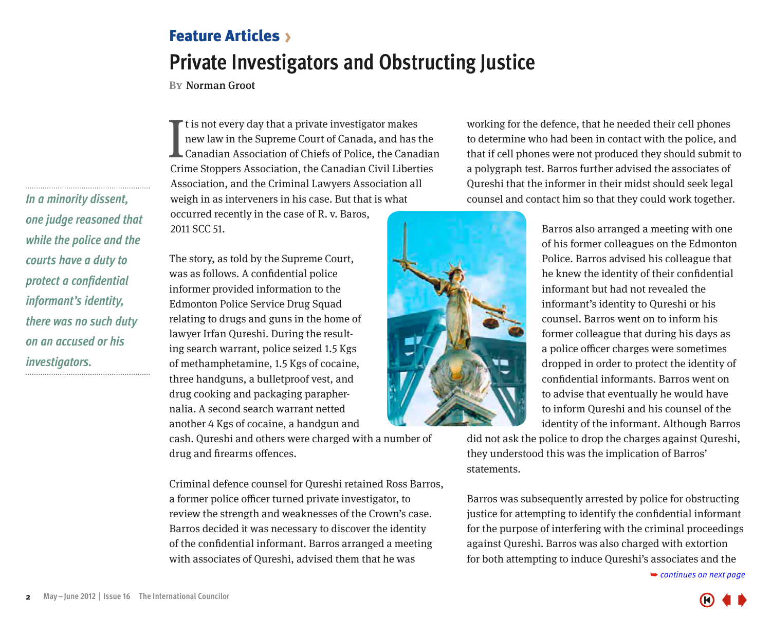## <span id="page-1-0"></span>Feature Articles **Private Investigators and Obstructing Justice**

**By**Norman Groot

It is not every day that a private investigator makes<br>new law in the Supreme Court of Canada, and has the<br>Canadian Association of Chiefs of Police, the Canadian<br>Crime Stoppers Association, the Canadian Civil Liberties t is not every day that a private investigator makes new law in the Supreme Court of Canada, and has the Canadian Association of Chiefs of Police, the Canadian Association, and the Criminal Lawyers Association all weigh in as interveners in his case. But that is what

occurred recently in the case of R. v. Baros, 2011 SCC 51.

The story, as told by the Supreme Court, was as follows. A confidential police informer provided information to the Edmonton Police Service Drug Squad relating to drugs and guns in the home of lawyer Irfan Qureshi. During the resulting search warrant, police seized 1.5 Kgs of methamphetamine, 1.5 Kgs of cocaine, three handguns, a bulletproof vest, and drug cooking and packaging paraphernalia. A second search warrant netted another 4 Kgs of cocaine, a handgun and

cash. Qureshi and others were charged with a number of drug and firearms offences.

Criminal defence counsel for Qureshi retained Ross Barros, a former police officer turned private investigator, to review the strength and weaknesses of the Crown's case. Barros decided it was necessary to discover the identity of the confidential informant. Barros arranged a meeting with associates of Qureshi, advised them that he was

working for the defence, that he needed their cell phones to determine who had been in contact with the police, and that if cell phones were not produced they should submit to a polygraph test. Barros further advised the associates of Qureshi that the informer in their midst should seek legal counsel and contact him so that they could work together.

> Barros also arranged a meeting with one of his former colleagues on the Edmonton Police. Barros advised his colleague that he knew the identity of their confidential informant but had not revealed the informant's identity to Qureshi or his counsel. Barros went on to inform his former colleague that during his days as a police officer charges were sometimes dropped in order to protect the identity of confidential informants. Barros went on to advise that eventually he would have to inform Qureshi and his counsel of the identity of the informant. Although Barros

did not ask the police to drop the charges against Qureshi, they understood this was the implication of Barros' statements.

Barros was subsequently arrested by police for obstructing justice for attempting to identify the confidential informant for the purpose of interfering with the criminal proceedings against Qureshi. Barros was also charged with extortion for b[oth attempting to induce Qureshi's associates and the](#page-2-0) 

➥ *continues on next page* 

*In a minority dissent, one judge reasoned that while the police and the courts have a duty to protect a confidential informant's identity, there was no such duty on an accused or his investigators.*



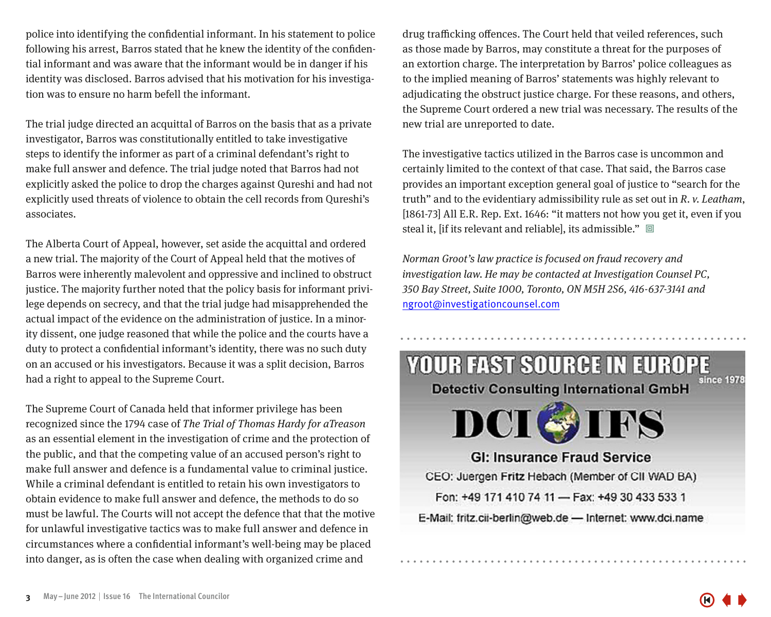<span id="page-2-0"></span>police into identifying the confidential informant. In his statement to police following his arrest, Barros stated that he knew the identity of the confidential informant and was aware that the informant would be in danger if his identity was disclosed. Barros advised that his motivation for his investigation was to ensure no harm befell the informant.

The trial judge directed an acquittal of Barros on the basis that as a private investigator, Barros was constitutionally entitled to take investigative steps to identify the informer as part of a criminal defendant's right to make full answer and defence. The trial judge noted that Barros had not explicitly asked the police to drop the charges against Qureshi and had not explicitly used threats of violence to obtain the cell records from Qureshi's associates.

The Alberta Court of Appeal, however, set aside the acquittal and ordered a new trial. The majority of the Court of Appeal held that the motives of Barros were inherently malevolent and oppressive and inclined to obstruct justice. The majority further noted that the policy basis for informant privilege depends on secrecy, and that the trial judge had misapprehended the actual impact of the evidence on the administration of justice. In a minority dissent, one judge reasoned that while the police and the courts have a duty to protect a confidential informant's identity, there was no such duty on an accused or his investigators. Because it was a split decision, Barros had a right to appeal to the Supreme Court.

The Supreme Court of Canada held that informer privilege has been recognized since the 1794 case of The Trial of Thomas Hardy for aTreason as an essential element in the investigation of crime and the protection of the public, and that the competing value of an accused person's right to make full answer and defence is a fundamental value to criminal justice. While a criminal defendant is entitled to retain his own investigators to obtain evidence to make full answer and defence, the methods to do so must be lawful. The Courts will not accept the defence that that the motive for unlawful investigative tactics was to make full answer and defence in circumstances where a confidential informant's well-being may be placed into danger, as is often the case when dealing with organized crime and

drug trafficking offences. The Court held that veiled references, such as those made by Barros, may constitute a threat for the purposes of an extortion charge. The interpretation by Barros' police colleagues as to the implied meaning of Barros' statements was highly relevant to adjudicating the obstruct justice charge. For these reasons, and others, the Supreme Court ordered a new trial was necessary. The results of the new trial are unreported to date.

The investigative tactics utilized in the Barros case is uncommon and certainly limited to the context of that case. That said, the Barros case provides an important exception general goal of justice to "search for the truth" and to the evidentiary admissibility rule as set out in  $R$ .  $v$ . Leatham, [1861-73] All E.R. Rep. Ext. 1646: "it matters not how you get it, even if you steal it, [if its relevant and reliable], its admissible."  $\Box$ 

Norman Groot's law practice is focused on fraud recovery and investigation law. He may be contacted at Investigation Counsel PC, 350 Bay Street, Suite 1000, Toronto, ON M5H 2S6, 416-637-3141 and ngroot@investigationcounsel.com

**YOUR FAST SOURCE IN EUROPE** 

**Detectiv Consulting International GmbH** 

**DCI OIFS GI: Insurance Fraud Service** CEO: Juergen Fritz Hebach (Member of CII WAD BA) Fon: +49 171 410 74 11 - Fax: +49 30 433 533 1 E-Mail: fritz.cii-berlin@web.de - Internet: www.dci.name

ince 1978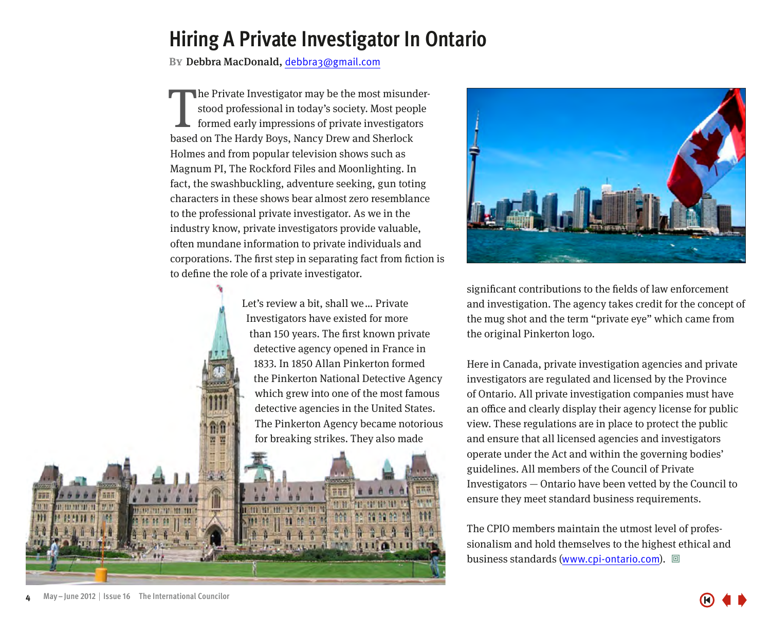## <span id="page-3-0"></span>**Hiring A Private Investigator In Ontario**

**By**Debbra MacDonald, debbra3@gmail.com

The Private Investigator may be the most misune stood professional in today's society. Most people formed early impressions of private investigato based on The Hardy Boys, Nancy Drew and Sherlock he Private Investigator may be the most misunderstood professional in today's society. Most people formed early impressions of private investigators Holmes and from popular television shows such as Magnum PI, The Rockford Files and Moonlighting. In fact, the swashbuckling, adventure seeking, gun toting characters in these shows bear almost zero resemblance to the professional private investigator. As we in the industry know, private investigators provide valuable, often mundane information to private individuals and corporations. The first step in separating fact from fiction is to define the role of a private investigator.

> Let's review a bit, shall we ... Private Investigators have existed for more than 150 years. The first known private detective agency opened in France in 1833. In 1850 Allan Pinkerton formed the Pinkerton National Detective Agency which grew into one of the most famous detective agencies in the United States. The Pinkerton Agency became notorious for breaking strikes. They also made



significant contributions to the fields of law enforcement and investigation. The agency takes credit for the concept of the mug shot and the term "private eye" which came from the original Pinkerton logo.

Here in Canada, private investigation agencies and private investigators are regulated and licensed by the Province of Ontario. All private investigation companies must have an office and clearly display their agency license for public view. These regulations are in place to protect the public and ensure that all licensed agencies and investigators operate under the Act and within the governing bodies' guidelines. All members of the Council of Private Investigators — Ontario have been vetted by the Council to ensure they meet standard business requirements.

The CPIO members maintain the utmost level of professionalism and hold themselves to the highest ethical and business standards (www.cpi-ontario.com). 回

Ħ

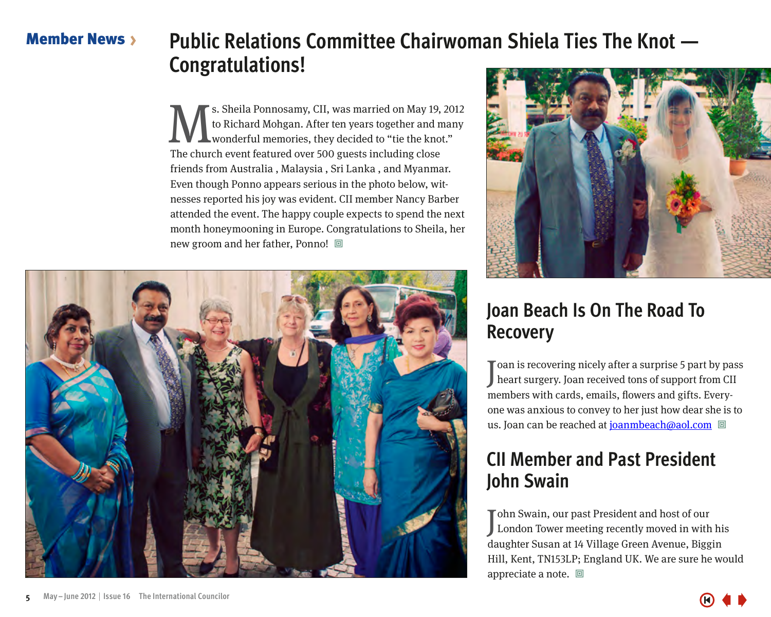#### <span id="page-4-0"></span>**Member News**

# **Public Relations Committee Chairwoman Shiela Ties The Knot — Congratulations!**

s. Sheila Ponnosamy, CII, was married on May 19, 2012 to Richard Mohgan. After ten years together and many wonderful memories, they decided to "tie the knot." The church event featured over 500 guests including close friends from Australia , Malaysia , Sri Lanka , and Myanmar. Even though Ponno appears serious in the photo below, witnesses reported his joy was evident. CII member Nancy Barber attended the event. The happy couple expects to spend the next month honeymooning in Europe. Congratulations to Sheila, her new groom and her father, Ponno!  $\Box$ 

## **Joan Beach Is On The Road To Recovery**

J heart surgery. Joan received tons of support from CII oan is recovering nicely after a surprise 5 part by pass members with cards, emails, flowers and gifts. Everyone was anxious to convey to her just how dear she is to us. Joan can be reached at joanmbeach@aol.com

## **CII Member and Past President John Swain**

J ohn Swain, our past President and host of our London Tower meeting recently moved in with his daughter Susan at 14 Village Green Avenue, Biggin Hill, Kent, TN153LP; England UK. We are sure he would appreciate a note.  $\Box$ 





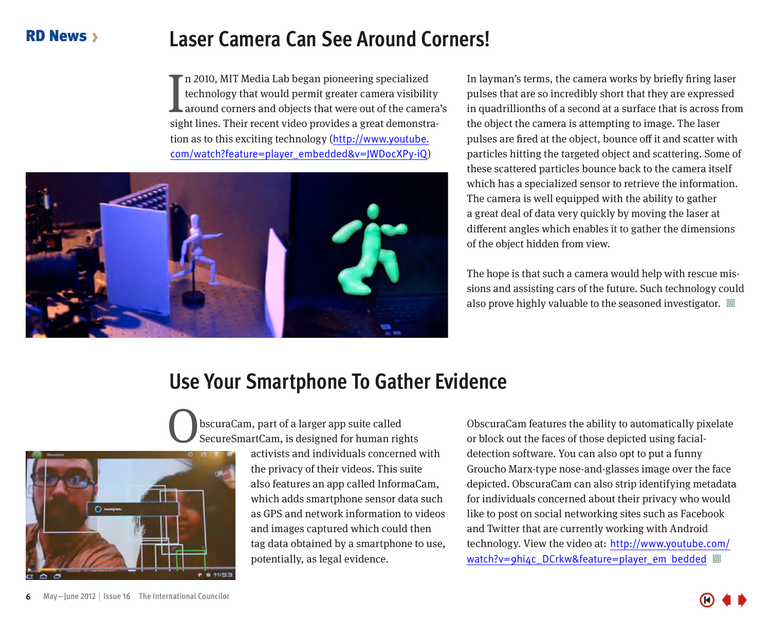## **Laser Camera Can See Around Corners!**

In 2010, MIT Media Lab began pioneering specialized<br>technology that would permit greater camera visibility<br>around corners and objects that were out of the camera<br>sight lines. Their recent video provides a great demonstran 2010, MIT Media Lab began pioneering specialized technology that would permit greater camera visibility around corners and objects that were out of the camera's tion as to this exciting technology ([http://www.youtube.](http://www.youtube.com/watch?feature=player_embedded&v=JWDocXPy-iQ) [com/watch?feature=player\\_embedded&v=JWDocXPy-iQ](http://www.youtube.com/watch?feature=player_embedded&v=JWDocXPy-iQ))

<span id="page-5-0"></span>

In layman's terms, the camera works by briefly firing laser pulses that are so incredibly short that they are expressed in quadrillionths of a second at a surface that is across from the object the camera is attempting to image. The laser pulses are fired at the object, bounce off it and scatter with particles hitting the targeted object and scattering. Some of these scattered particles bounce back to the camera itself which has a specialized sensor to retrieve the information. The camera is well equipped with the ability to gather a great deal of data very quickly by moving the laser at different angles which enables it to gather the dimensions of the object hidden from view.

The hope is that such a camera would help with rescue missions and assisting cars of the future. Such technology could also prove highly valuable to the seasoned investigator.  $\Box$ 

## **Use Your Smartphone To Gather Evidence**



**n** a 11:53

activists and individuals concerned with the privacy of their videos. This suite also features an app called InformaCam, which adds smartphone sensor data such as GPS and network information to videos and images captured which could then tag data obtained by a smartphone to use, potentially, as legal evidence.

ObscuraCam features the ability to automatically pixelate or block out the faces of those depicted using facialdetection software. You can also opt to put a funny Groucho Marx-type nose-and-glasses image over the face depicted. ObscuraCam can also strip identifying metadata for individuals concerned about their privacy who would like to post on social networking sites such as Facebook and Twitter that are currently working with Android technology. View the video at: [http://www.youtube.com/](http://www.youtube.com/watch?v=9hi4c_DCrkw&feature=player_embedded) [watch?v=9hi4c\\_DCrkw&feature=player\\_em bedded](http://www.youtube.com/watch?v=9hi4c_DCrkw&feature=player_embedded) 回

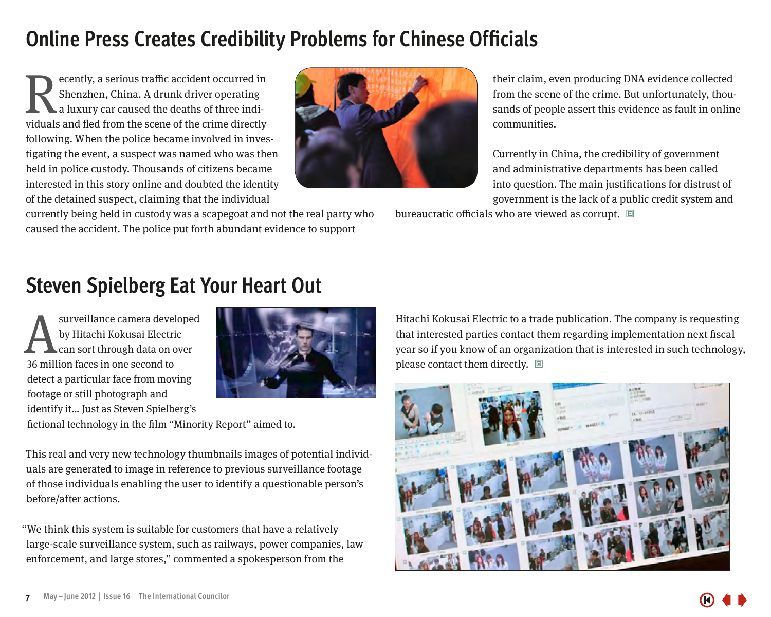# **Online Press Creates Credibility Problems for Chinese Officials**

ecently, a serious traffic accident occurred in Shenzhen, China. A drunk driver operating a luxury car caused the deaths of three indi**viduals** and fled from the scene of the crime directly a luxury car caused the deaths of three individuals and fled from the scene of the crime directly following. When the police became involved in investigating the event, a suspect was named who was then held in police custody. Thousands of citizens became interested in this story online and doubted the identity of the detained suspect, claiming that the individual



their claim, even producing DNA evidence collected from the scene of the crime. But unfortunately, thousands of people assert this evidence as fault in online communities.

Currently in China, the credibility of government and administrative departments has been called into question. The main justifications for distrust of government is the lack of a public credit system and

currently being held in custody was a scapegoat and not the real party who caused the accident. The police put forth abundant evidence to support

# **Steven Spielberg Eat Your Heart Out**

surveillance camera developed by Hitachi Kokusai Electric can sort through data on over 36 million faces in one second to detect a particular face from moving footage or still photograph and identify it… Just as Steven Spielberg's



fictional technology in the film "Minority Report" aimed to.

This real and very new technology thumbnails images of potential individuals are generated to image in reference to previous surveillance footage of those individuals enabling the user to identify a questionable person's before/after actions.

"We think this system is suitable for customers that have a relatively large-scale surveillance system, such as railways, power companies, law enforcement, and large stores," commented a spokesperson from the

Hitachi Kokusai Electric to a trade publication. The company is requesting that interested parties contact them regarding implementation next fiscal year so if you know of an organization that is interested in such technology, please contact them directly.  $\Box$ 

bureaucratic officials who are viewed as corrupt.  $\Box$ 

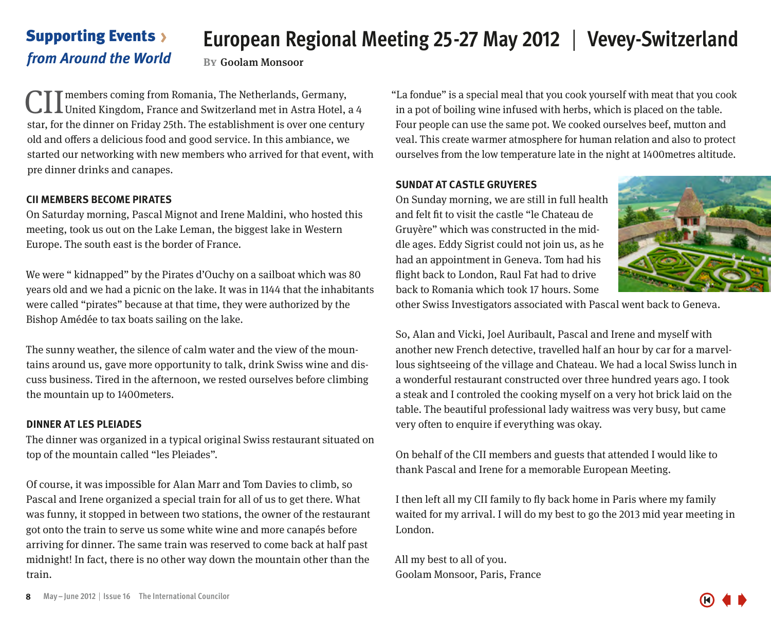# **European Regional Meeting 25-27 May 2012** | **Vevey-Switzerland**

#### <span id="page-7-0"></span>Supporting Events *from Around the World*

**By**Goolam Monsoor

CII members coming from Romania, The Netherlands, Germany,<br>United Kingdom, France and Switzerland met in Astra Hotel, a 4 star, for the dinner on Friday 25th. The establishment is over one century old and offers a delicious food and good service. In this ambiance, we started our networking with new members who arrived for that event, with pre dinner drinks and canapes.

#### **CII MEMBERS BECOME PIRATES**

On Saturday morning, Pascal Mignot and Irene Maldini, who hosted this meeting, took us out on the Lake Leman, the biggest lake in Western Europe. The south east is the border of France.

We were " kidnapped" by the Pirates d'Ouchy on a sailboat which was 80 years old and we had a picnic on the lake. It was in 1144 that the inhabitants were called "pirates" because at that time, they were authorized by the Bishop Amédée to tax boats sailing on the lake.

The sunny weather, the silence of calm water and the view of the mountains around us, gave more opportunity to talk, drink Swiss wine and discuss business. Tired in the afternoon, we rested ourselves before climbing the mountain up to 1400meters.

#### **DINNER AT LES PLEIADES**

The dinner was organized in a typical original Swiss restaurant situated on top of the mountain called "les Pleiades".

Of course, it was impossible for Alan Marr and Tom Davies to climb, so Pascal and Irene organized a special train for all of us to get there. What was funny, it stopped in between two stations, the owner of the restaurant got onto the train to serve us some white wine and more canapés before arriving for dinner. The same train was reserved to come back at half past midnight! In fact, there is no other way down the mountain other than the train.

"La fondue" is a special meal that you cook yourself with meat that you cook in a pot of boiling wine infused with herbs, which is placed on the table. Four people can use the same pot. We cooked ourselves beef, mutton and veal. This create warmer atmosphere for human relation and also to protect ourselves from the low temperature late in the night at 1400metres altitude.

#### **SUNDAT AT CASTLE GRUYERES**

On Sunday morning, we are still in full health and felt fit to visit the castle "le Chateau de Gruyère" which was constructed in the middle ages. Eddy Sigrist could not join us, as he had an appointment in Geneva. Tom had his flight back to London, Raul Fat had to drive back to Romania which took 17 hours. Some



other Swiss Investigators associated with Pascal went back to Geneva.

So, Alan and Vicki, Joel Auribault, Pascal and Irene and myself with another new French detective, travelled half an hour by car for a marvellous sightseeing of the village and Chateau. We had a local Swiss lunch in a wonderful restaurant constructed over three hundred years ago. I took a steak and I controled the cooking myself on a very hot brick laid on the table. The beautiful professional lady waitress was very busy, but came very often to enquire if everything was okay.

On behalf of the CII members and guests that attended I would like to thank Pascal and Irene for a memorable European Meeting.

I then left all my CII family to fly back home in Paris where my family waited for my arrival. I will do my best to go the 2013 mid year meeting in London.

All my best to all of you. Goolam Monsoor, Paris, France